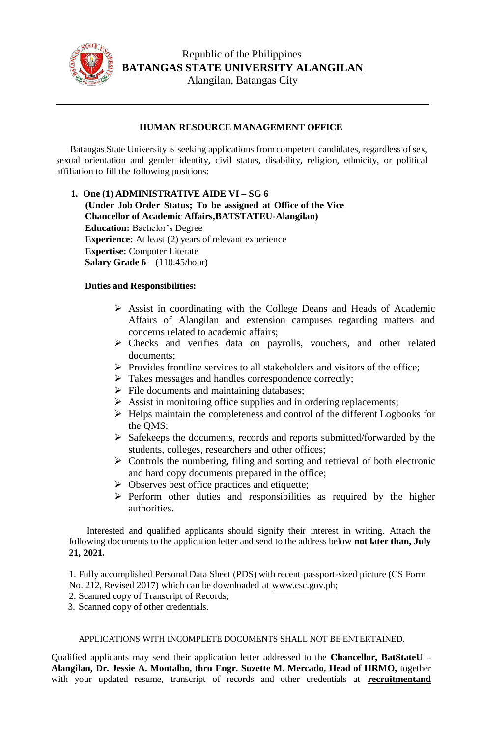

## **HUMAN RESOURCE MANAGEMENT OFFICE**

Batangas State University is seeking applications from competent candidates, regardless of sex, sexual orientation and gender identity, civil status, disability, religion, ethnicity, or political affiliation to fill the following positions:

**1. One (1) ADMINISTRATIVE AIDE VI – SG 6 (Under Job Order Status; To be assigned at Office of the Vice Chancellor of Academic Affairs,BATSTATEU-Alangilan) Education:** Bachelor's Degree **Experience:** At least (2) years of relevant experience **Expertise:** Computer Literate **Salary Grade 6** – (110.45/hour)

## **Duties and Responsibilities:**

- Assist in coordinating with the College Deans and Heads of Academic Affairs of Alangilan and extension campuses regarding matters and concerns related to academic affairs;
- Checks and verifies data on payrolls, vouchers, and other related documents;
- $\triangleright$  Provides frontline services to all stakeholders and visitors of the office;
- $\triangleright$  Takes messages and handles correspondence correctly;
- $\triangleright$  File documents and maintaining databases;
- $\triangleright$  Assist in monitoring office supplies and in ordering replacements;
- $\triangleright$  Helps maintain the completeness and control of the different Logbooks for the QMS;
- $\triangleright$  Safekeeps the documents, records and reports submitted/forwarded by the students, colleges, researchers and other offices;
- $\triangleright$  Controls the numbering, filing and sorting and retrieval of both electronic and hard copy documents prepared in the office;
- $\triangleright$  Observes best office practices and etiquette;
- $\triangleright$  Perform other duties and responsibilities as required by the higher authorities.

Interested and qualified applicants should signify their interest in writing. Attach the following documents to the application letter and send to the address below **not later than, July 21, 2021.**

1. Fully accomplished Personal Data Sheet (PDS) with recent passport-sized picture (CS Form No. 212, Revised 2017) which can be downloaded at [www.csc.gov.ph;](http://www.csc.gov.ph/)

- 2. Scanned copy of Transcript of Records;
- 3. Scanned copy of other credentials.

## APPLICATIONS WITH INCOMPLETE DOCUMENTS SHALL NOT BE ENTERTAINED.

Qualified applicants may send their application letter addressed to the **Chancellor, BatStateU – Alangilan, Dr. Jessie A. Montalbo, thru Engr. Suzette M. Mercado, Head of HRMO,** together with your updated resume, transcript of records and other credentials at **[recruitmentand](mailto:recruitmentand%20hiring.alangilan@g.batstate-)**